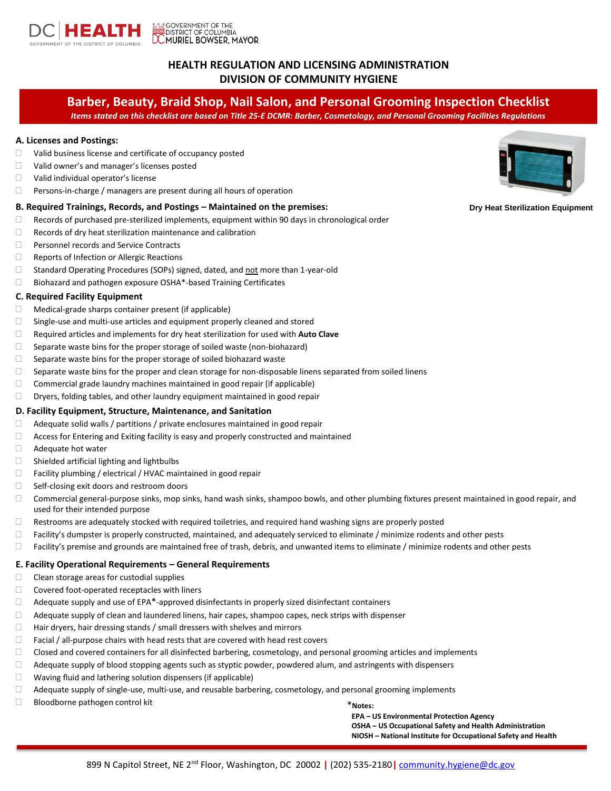

# **HEALTH REGULATION AND LICENSING ADMINISTRATION DIVISION OF COMMUNITY HYGIENE**

# **Barber, Beauty, Braid Shop, Nail Salon, and Personal Grooming Inspection Checklist**

*Items stated on this checklist are based on Title 25-E DCMR: Barber, Cosmetology, and Personal Grooming Facilities Regulations*

# **A. Licenses and Postings:**

- Valid business license and certificate of occupancy posted
- □ Valid owner's and manager's licenses posted
- □ Valid individual operator's license
- Persons-in-charge / managers are present during all hours of operation

# **B. Required Trainings, Records, and Postings – Maintained on the premises:**

- $\Box$  Records of purchased pre-sterilized implements, equipment within 90 days in chronological order
- $\Box$  Records of dry heat sterilization maintenance and calibration
- **Personnel records and Service Contracts**
- Reports of Infection or Allergic Reactions
- □ Standard Operating Procedures (SOPs) signed, dated, and not more than 1-year-old
- $\Box$  Biohazard and pathogen exposure OSHA\*-based Training Certificates

#### **C. Required Facility Equipment**

- $\Box$  Medical-grade sharps container present (if applicable)
- $\Box$  Single-use and multi-use articles and equipment properly cleaned and stored
- Required articles and implements for dry heat sterilization for used with **Auto Clave**
- $\Box$  Separate waste bins for the proper storage of soiled waste (non-biohazard)
- $\Box$  Separate waste bins for the proper storage of soiled biohazard waste
- $\Box$  Separate waste bins for the proper and clean storage for non-disposable linens separated from soiled linens
- $\Box$  Commercial grade laundry machines maintained in good repair (if applicable)
- Dryers, folding tables, and other laundry equipment maintained in good repair

#### **D. Facility Equipment, Structure, Maintenance, and Sanitation**

- $\Box$  Adequate solid walls / partitions / private enclosures maintained in good repair
- $\Box$  Access for Entering and Exiting facility is easy and properly constructed and maintained
- Adequate hot water
- $\Box$  Shielded artificial lighting and lightbulbs
- $\Box$  Facility plumbing / electrical / HVAC maintained in good repair
- $\Box$  Self-closing exit doors and restroom doors
- Commercial general-purpose sinks, mop sinks, hand wash sinks, shampoo bowls, and other plumbing fixtures present maintained in good repair, and used for their intended purpose
- $\Box$  Restrooms are adequately stocked with required toiletries, and required hand washing signs are properly posted
- $\Box$  Facility's dumpster is properly constructed, maintained, and adequately serviced to eliminate / minimize rodents and other pests
- $\Box$  Facility's premise and grounds are maintained free of trash, debris, and unwanted items to eliminate / minimize rodents and other pests

#### **E. Facility Operational Requirements – General Requirements**

- $\Box$  Clean storage areas for custodial supplies
- $\Box$  Covered foot-operated receptacles with liners
- $\Box$  Adequate supply and use of EPA $^*$ -approved disinfectants in properly sized disinfectant containers
- $\Box$  Adequate supply of clean and laundered linens, hair capes, shampoo capes, neck strips with dispenser
- $\Box$  Hair dryers, hair dressing stands / small dressers with shelves and mirrors
- $\Box$  Facial / all-purpose chairs with head rests that are covered with head rest covers
- $\Box$  Closed and covered containers for all disinfected barbering, cosmetology, and personal grooming articles and implements
- Adequate supply of blood stopping agents such as styptic powder, powdered alum, and astringents with dispensers
- $\Box$  Waving fluid and lathering solution dispensers (if applicable)
- Adequate supply of single-use, multi-use, and reusable barbering, cosmetology, and personal grooming implements
- Bloodborne pathogen control kit

\***Notes:**

**EPA – US Environmental Protection Agency**

- **OSHA – US Occupational Safety and Health Administration**
- **NIOSH – National Institute for Occupational Safety and Health**



**Dry Heat Sterilization Equipment**